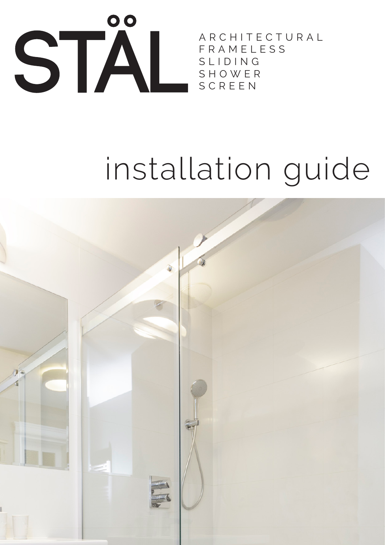

A R C H I T E C T U R A L F R A M E L E S S S L I D I N G S H O W E R SCREEN

# installation guide

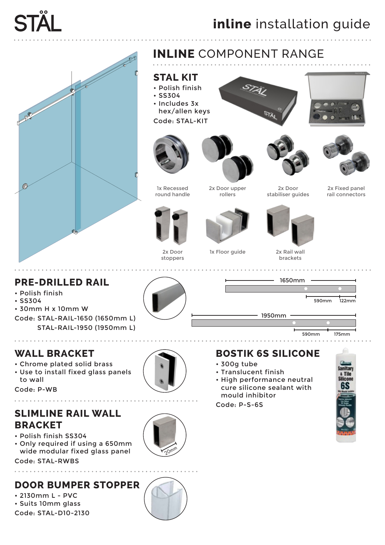









rail connectors





1x Floor guide 2x Rail wall



1650mm

2x Door stabiliser guides

brackets

#### **PRE-DRILLED RAIL**

- Polish finish
- SS304
- 30mm H x 10mm W
- Code: STAL-RAIL-1650 (1650mm L) STAL-RAIL-1950 (1950mm L)

#### **WALL BRACKET**

- Chrome plated solid brass
- Use to install fixed glass panels to wall

Code: P-WB . . . . . . . . . . . .

### **SLIMLINE RAIL WALL BRACKET**

- Polish finish SS304
- Only required if using a 650mm wide modular fixed glass panel

Code: STAL-RWBS

#### **DOOR BUMPER STOPPER**

• 2130mm L - PVC • Suits 10mm glass Code: STAL-D10-2130

. . . . . . . . . . . . . . . . .



#### **BOSTIK 6S SILICONE**

1950mm

- 300g tube
- Translucent finish
- High performance neutral cure silicone sealant with mould inhibitor

Code: P-S-6S



**1**<br>122mm

175mm

590mm

590mm

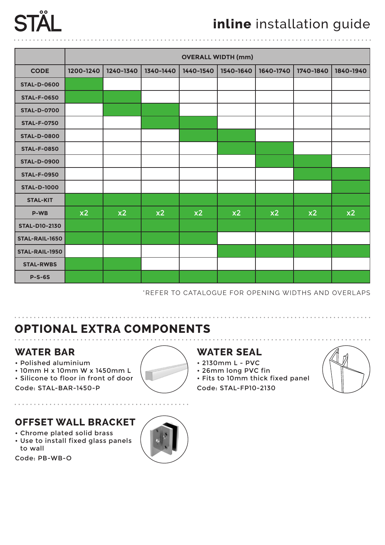# $0<sub>0</sub>$

|                      | <b>OVERALL WIDTH (mm)</b> |           |           |           |           |           |           |           |
|----------------------|---------------------------|-----------|-----------|-----------|-----------|-----------|-----------|-----------|
| <b>CODE</b>          | 1200-1240                 | 1240-1340 | 1340-1440 | 1440-1540 | 1540-1640 | 1640-1740 | 1740-1840 | 1840-1940 |
| <b>STAL-D-0600</b>   |                           |           |           |           |           |           |           |           |
| <b>STAL-F-0650</b>   |                           |           |           |           |           |           |           |           |
| <b>STAL-D-0700</b>   |                           |           |           |           |           |           |           |           |
| <b>STAL-F-0750</b>   |                           |           |           |           |           |           |           |           |
| <b>STAL-D-0800</b>   |                           |           |           |           |           |           |           |           |
| <b>STAL-F-0850</b>   |                           |           |           |           |           |           |           |           |
| <b>STAL-D-0900</b>   |                           |           |           |           |           |           |           |           |
| <b>STAL-F-0950</b>   |                           |           |           |           |           |           |           |           |
| <b>STAL-D-1000</b>   |                           |           |           |           |           |           |           |           |
| <b>STAL-KIT</b>      |                           |           |           |           |           |           |           |           |
| <b>P-WB</b>          | x2                        | x2        | x2        | x2        | x2        | x2        | x2        | x2        |
| <b>STAL-D10-2130</b> |                           |           |           |           |           |           |           |           |
| STAL-RAIL-1650       |                           |           |           |           |           |           |           |           |
| STAL-RAIL-1950       |                           |           |           |           |           |           |           |           |
| <b>STAL-RWBS</b>     |                           |           |           |           |           |           |           |           |
| $P-S-6S$             |                           |           |           |           |           |           |           |           |

\*REFER TO CATALOGUE FOR OPENING WIDTHS AND OVERLAPS

. . . . . . . . . . . . . . . . . . .

### **OPTIONAL EXTRA COMPONENTS**

#### **WATER BAR**

• Polished aluminium

 $\frac{1}{2}$ 

- 10mm H x 10mm W x 1450mm L
- Silicone to floor in front of door
- Code: STAL-BAR-1450-P

#### **OFFSET WALL BRACKET**

- Chrome plated solid brass
- Use to install fixed glass panels to wall

Code: PB-WB-O



#### **WATER SEAL**

- 2130mm L PVC
- 26mm long PVC fin
- Fits to 10mm thick fixed panel Code: STAL-FP10-2130



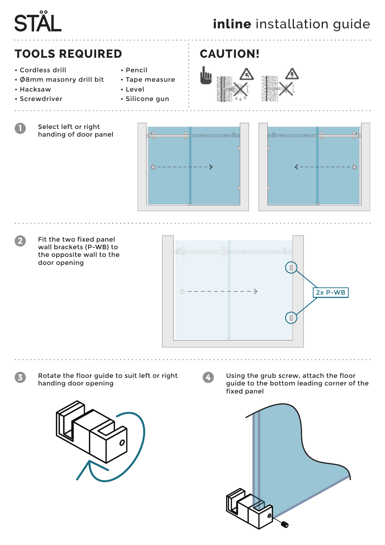# $\overline{\mathbf{o}}$

# **inline** installation guide

# **TOOLS REQUIRED CAUTION!**

Select left or right handing of door panel

- Cordless drill
- Ø8mm masonry drill bit
- Hacksaw

**1**

**2**

• Screwdriver

. . . . . . . . . . .

- Pencil
- Tape measure
- Level • Silicone gun









Fit the two fixed panel wall brackets (P-WB) to the opposite wall to the door opening



**3 4** Rotate the floor guide to suit left or right handing door opening



Using the grub screw, attach the floor guide to the bottom leading corner of the fixed panel

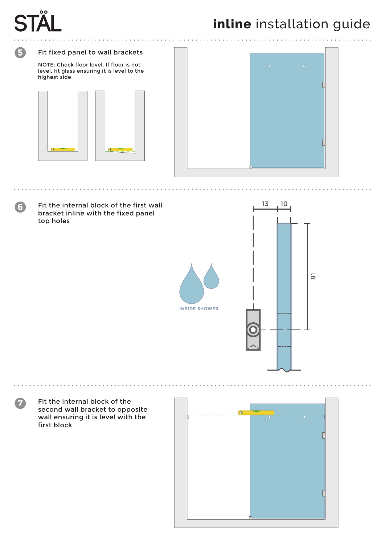

**5**

**6**

**7**

# **inline** installation guide

#### Fit fixed panel to wall brackets

NOTE: Check floor level. If floor is not level, fit glass ensuring it is level to the highest side





Fit the internal block of the first wall bracket inline with the fixed panel top holes



Fit the internal block of the second wall bracket to opposite wall ensuring it is level with the first block

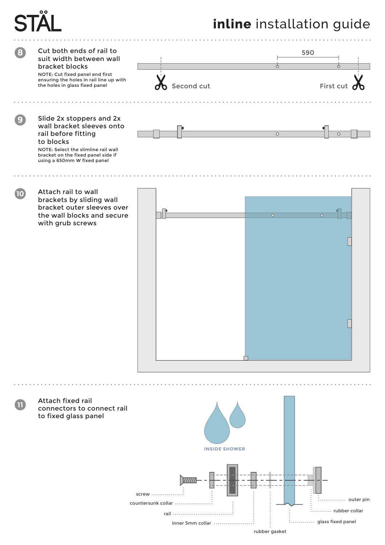# **inline** installation guide

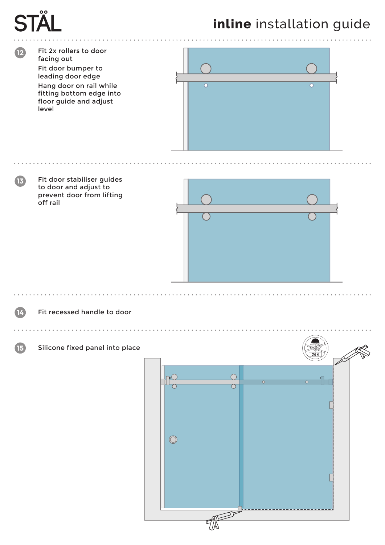# $\overline{\mathbf{o}}$

# **inline** installation guide

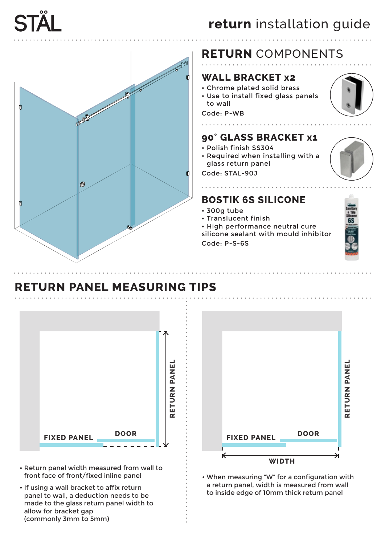

# **RETURN** COMPONENTS

#### **WALL BRACKET x2**

- Chrome plated solid brass
- Use to install fixed glass panels to wall

#### Code: P-WB

. . . . . . . . .

#### **90° GLASS BRACKET x1**

- Polish finish SS304
- Required when installing with a glass return panel

Code: STAL-90J

#### **BOSTIK 6S SILICONE**

- 300g tube
- Translucent finish
- High performance neutral cure silicone sealant with mould inhibitor

Code: P-S-6S



### **RETURN PANEL MEASURING TIPS**



- Return panel width measured from wall to front face of front/fixed inline panel
- If using a wall bracket to affix return panel to wall, a deduction needs to be made to the glass return panel width to allow for bracket gap (commonly 3mm to 5mm)



• When measuring "W" for a configuration with a return panel, width is measured from wall to inside edge of 10mm thick return panel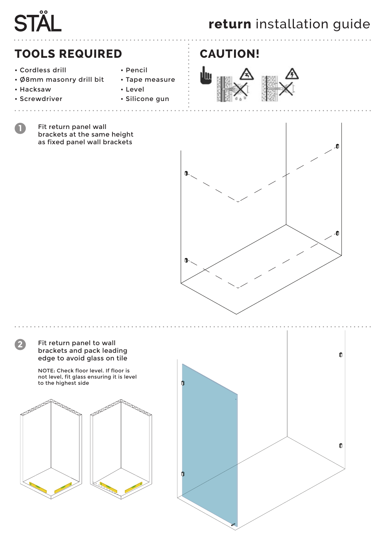# $\overline{00}$ **STA**

# **return** installation guide

### **TOOLS REQUIRED CAUTION!**

- Cordless drill
- Pencil

• Level

• Tape measure

• Silicone gun

- Ø8mm masonry drill bit
- Hacksaw

**1**

• Screwdriver

. . . . . . . . .

Fit return panel wall brackets at the same height as fixed panel wall brackets







Fit return panel to wall **2** brackets and pack leading edge to avoid glass on tile NOTE: Check floor level. If floor is not level, fit glass ensuring it is level to the highest side Reader of the Contract of